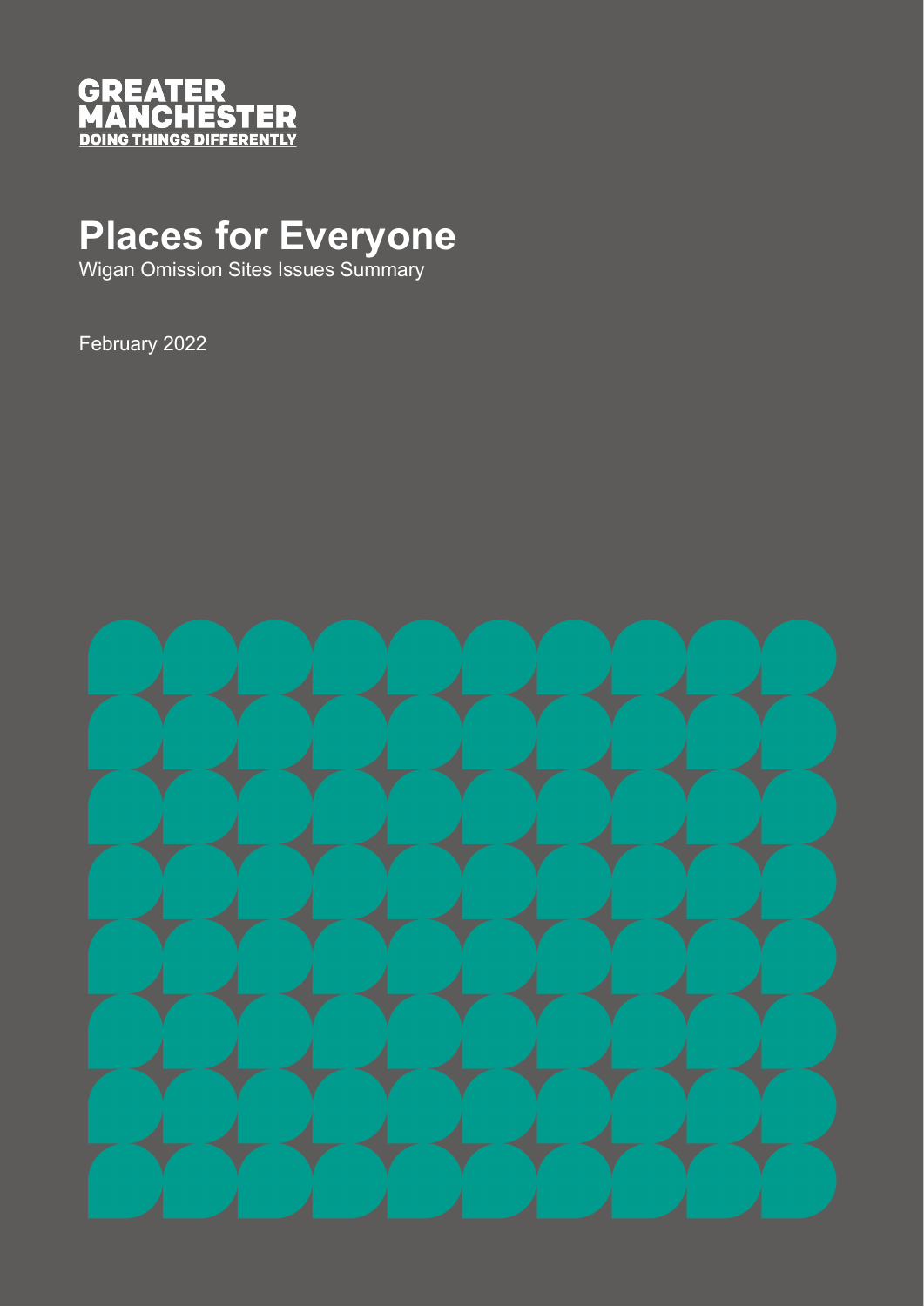

## **Places for Everyone**

Wigan Omission Sites Issues Summary

February 2022

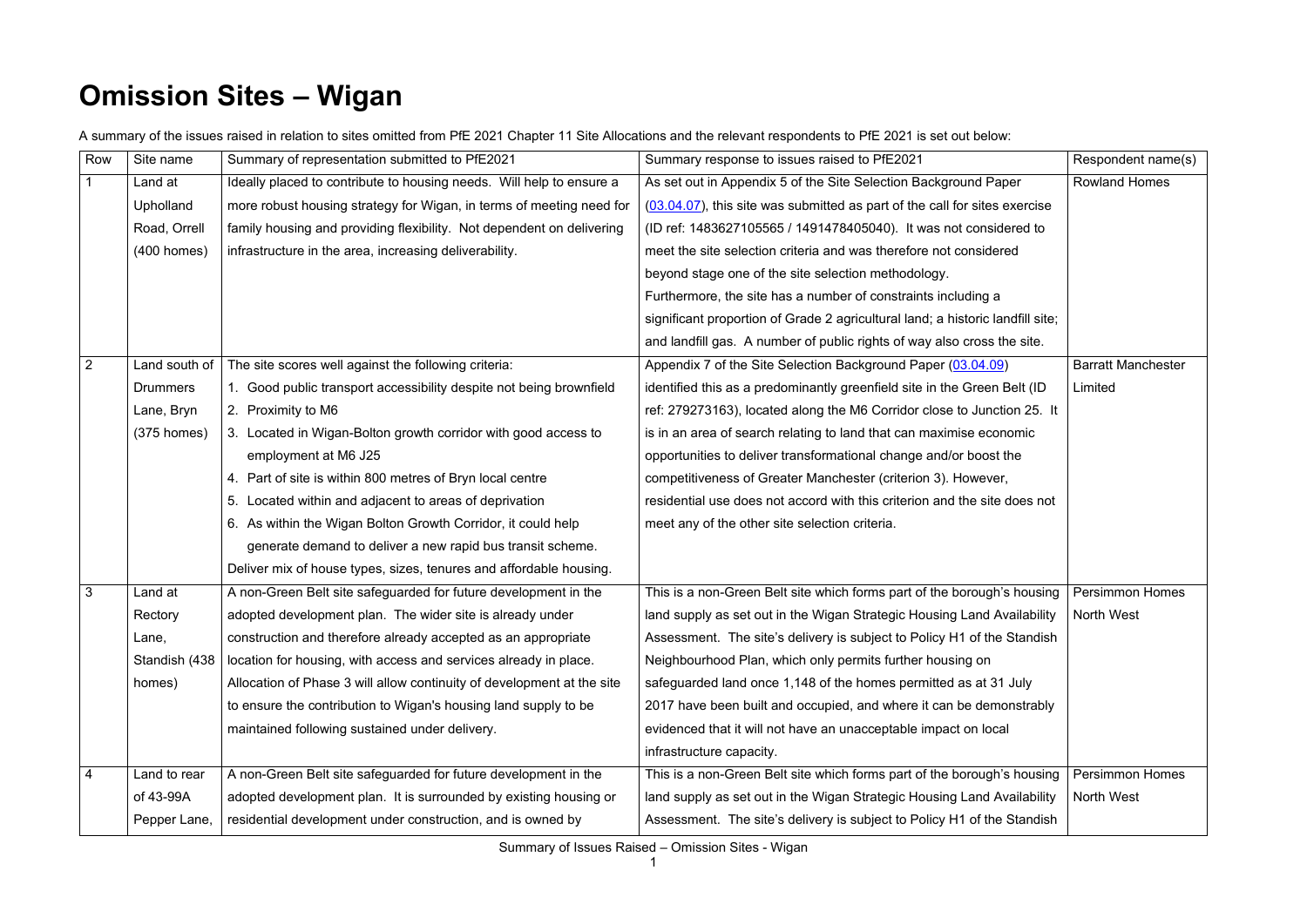## **Omission Sites – Wigan**

A summary of the issues raised in relation to sites omitted from PfE 2021 Chapter 11 Site Allocations and the relevant respondents to PfE 2021 is set out below:

| Row            | Site name        | Summary of representation submitted to PfE2021                         | Summary response to issues raised to PfE2021                                   | Respondent name(s)        |
|----------------|------------------|------------------------------------------------------------------------|--------------------------------------------------------------------------------|---------------------------|
|                | Land at          | Ideally placed to contribute to housing needs. Will help to ensure a   | As set out in Appendix 5 of the Site Selection Background Paper                | <b>Rowland Homes</b>      |
|                | <b>Upholland</b> | more robust housing strategy for Wigan, in terms of meeting need for   | $(03.04.07)$ , this site was submitted as part of the call for sites exercise  |                           |
|                | Road, Orrell     | family housing and providing flexibility. Not dependent on delivering  | (ID ref: 1483627105565 / 1491478405040). It was not considered to              |                           |
|                | $(400$ homes)    | infrastructure in the area, increasing deliverability.                 | meet the site selection criteria and was therefore not considered              |                           |
|                |                  |                                                                        | beyond stage one of the site selection methodology.                            |                           |
|                |                  |                                                                        | Furthermore, the site has a number of constraints including a                  |                           |
|                |                  |                                                                        | significant proportion of Grade 2 agricultural land; a historic landfill site; |                           |
|                |                  |                                                                        | and landfill gas. A number of public rights of way also cross the site.        |                           |
| $\overline{2}$ | Land south of    | The site scores well against the following criteria:                   | Appendix 7 of the Site Selection Background Paper (03.04.09)                   | <b>Barratt Manchester</b> |
|                | <b>Drummers</b>  | 1. Good public transport accessibility despite not being brownfield    | identified this as a predominantly greenfield site in the Green Belt (ID       | Limited                   |
|                | Lane, Bryn       | 2. Proximity to M6                                                     | ref: 279273163), located along the M6 Corridor close to Junction 25. It        |                           |
|                | $(375$ homes)    | 3. Located in Wigan-Bolton growth corridor with good access to         | is in an area of search relating to land that can maximise economic            |                           |
|                |                  | employment at M6 J25                                                   | opportunities to deliver transformational change and/or boost the              |                           |
|                |                  | 4. Part of site is within 800 metres of Bryn local centre              | competitiveness of Greater Manchester (criterion 3). However,                  |                           |
|                |                  | 5. Located within and adjacent to areas of deprivation                 | residential use does not accord with this criterion and the site does not      |                           |
|                |                  | 6. As within the Wigan Bolton Growth Corridor, it could help           | meet any of the other site selection criteria.                                 |                           |
|                |                  | generate demand to deliver a new rapid bus transit scheme.             |                                                                                |                           |
|                |                  | Deliver mix of house types, sizes, tenures and affordable housing.     |                                                                                |                           |
| 3              | Land at          | A non-Green Belt site safeguarded for future development in the        | This is a non-Green Belt site which forms part of the borough's housing        | <b>Persimmon Homes</b>    |
|                | Rectory          | adopted development plan. The wider site is already under              | land supply as set out in the Wigan Strategic Housing Land Availability        | <b>North West</b>         |
|                | Lane,            | construction and therefore already accepted as an appropriate          | Assessment. The site's delivery is subject to Policy H1 of the Standish        |                           |
|                | Standish (438)   | location for housing, with access and services already in place.       | Neighbourhood Plan, which only permits further housing on                      |                           |
|                | homes)           | Allocation of Phase 3 will allow continuity of development at the site | safeguarded land once 1,148 of the homes permitted as at 31 July               |                           |
|                |                  | to ensure the contribution to Wigan's housing land supply to be        | 2017 have been built and occupied, and where it can be demonstrably            |                           |
|                |                  | maintained following sustained under delivery.                         | evidenced that it will not have an unacceptable impact on local                |                           |
|                |                  |                                                                        | infrastructure capacity.                                                       |                           |
| 4              | Land to rear     | A non-Green Belt site safeguarded for future development in the        | This is a non-Green Belt site which forms part of the borough's housing        | <b>Persimmon Homes</b>    |
|                | of 43-99A        | adopted development plan. It is surrounded by existing housing or      | land supply as set out in the Wigan Strategic Housing Land Availability        | North West                |
|                | Pepper Lane,     | residential development under construction, and is owned by            | Assessment. The site's delivery is subject to Policy H1 of the Standish        |                           |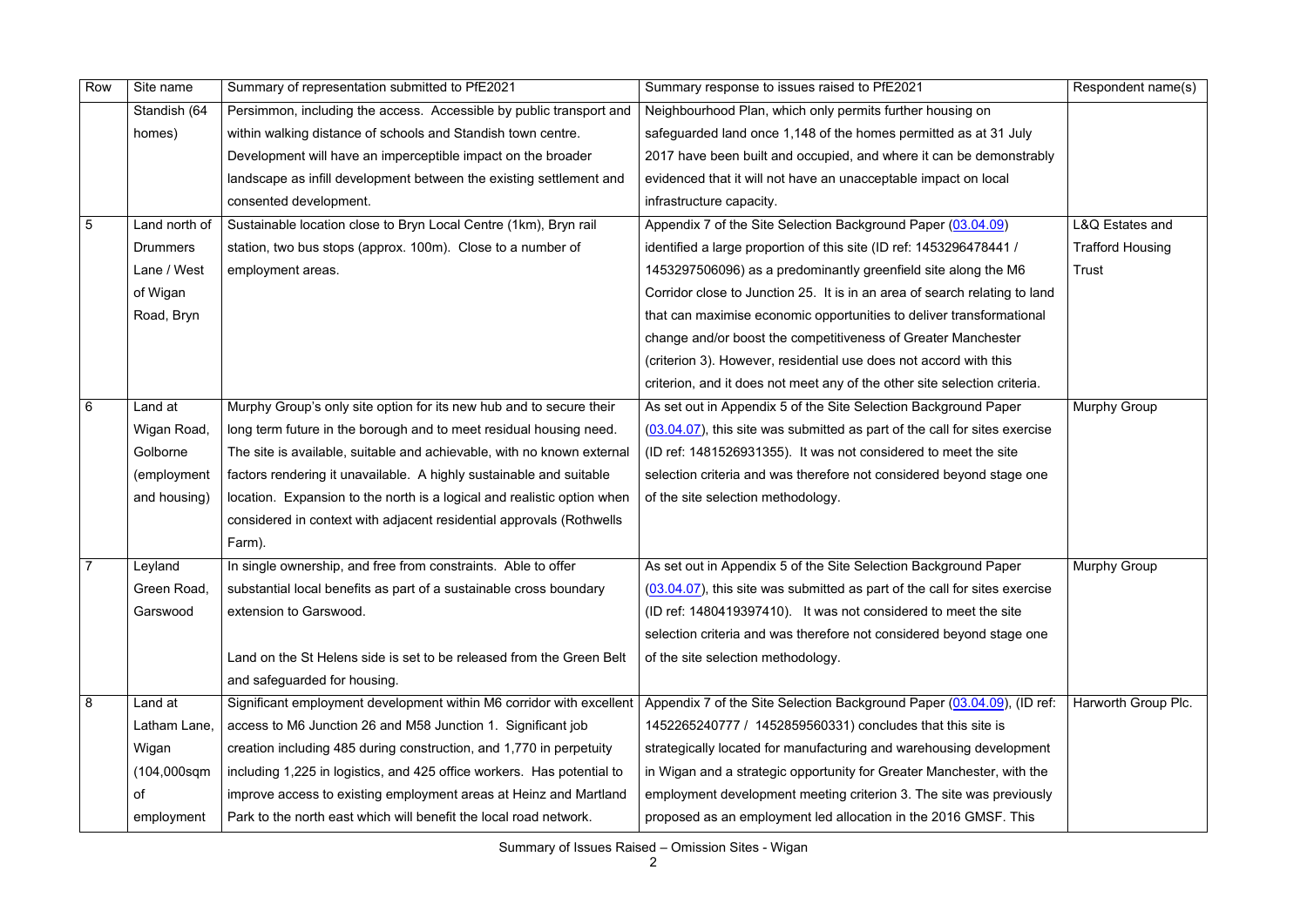Summary of Issues Raised – Omission Sites - Wigan

| Row             | Site name       | Summary of representation submitted to PfE2021                          | Summary response to issues raised to PfE2021                                  | Respondent name(s)      |
|-----------------|-----------------|-------------------------------------------------------------------------|-------------------------------------------------------------------------------|-------------------------|
|                 | Standish (64    | Persimmon, including the access. Accessible by public transport and     | Neighbourhood Plan, which only permits further housing on                     |                         |
|                 | homes)          | within walking distance of schools and Standish town centre.            | safeguarded land once 1,148 of the homes permitted as at 31 July              |                         |
|                 |                 | Development will have an imperceptible impact on the broader            | 2017 have been built and occupied, and where it can be demonstrably           |                         |
|                 |                 | landscape as infill development between the existing settlement and     | evidenced that it will not have an unacceptable impact on local               |                         |
|                 |                 | consented development.                                                  | infrastructure capacity.                                                      |                         |
| $5\phantom{1}$  | Land north of   | Sustainable location close to Bryn Local Centre (1km), Bryn rail        | Appendix 7 of the Site Selection Background Paper (03.04.09)                  | L&Q Estates and         |
|                 | <b>Drummers</b> | station, two bus stops (approx. 100m). Close to a number of             | identified a large proportion of this site (ID ref: 1453296478441 /           | <b>Trafford Housing</b> |
|                 | Lane / West     | employment areas.                                                       | 1453297506096) as a predominantly greenfield site along the M6                | Trust                   |
|                 | of Wigan        |                                                                         | Corridor close to Junction 25. It is in an area of search relating to land    |                         |
|                 | Road, Bryn      |                                                                         | that can maximise economic opportunities to deliver transformational          |                         |
|                 |                 |                                                                         | change and/or boost the competitiveness of Greater Manchester                 |                         |
|                 |                 |                                                                         | (criterion 3). However, residential use does not accord with this             |                         |
|                 |                 |                                                                         | criterion, and it does not meet any of the other site selection criteria.     |                         |
| $6\phantom{1}6$ | Land at         | Murphy Group's only site option for its new hub and to secure their     | As set out in Appendix 5 of the Site Selection Background Paper               | <b>Murphy Group</b>     |
|                 | Wigan Road,     | long term future in the borough and to meet residual housing need.      | $(03.04.07)$ , this site was submitted as part of the call for sites exercise |                         |
|                 | Golborne        | The site is available, suitable and achievable, with no known external  | (ID ref: 1481526931355). It was not considered to meet the site               |                         |
|                 | (employment     | factors rendering it unavailable. A highly sustainable and suitable     | selection criteria and was therefore not considered beyond stage one          |                         |
|                 | and housing)    | location. Expansion to the north is a logical and realistic option when | of the site selection methodology.                                            |                         |
|                 |                 | considered in context with adjacent residential approvals (Rothwells    |                                                                               |                         |
|                 |                 | Farm).                                                                  |                                                                               |                         |
| $\overline{7}$  | Leyland         | In single ownership, and free from constraints. Able to offer           | As set out in Appendix 5 of the Site Selection Background Paper               | <b>Murphy Group</b>     |
|                 | Green Road,     | substantial local benefits as part of a sustainable cross boundary      | $(03.04.07)$ , this site was submitted as part of the call for sites exercise |                         |
|                 | Garswood        | extension to Garswood.                                                  | (ID ref: 1480419397410). It was not considered to meet the site               |                         |
|                 |                 |                                                                         | selection criteria and was therefore not considered beyond stage one          |                         |
|                 |                 | Land on the St Helens side is set to be released from the Green Belt    | of the site selection methodology.                                            |                         |
|                 |                 | and safeguarded for housing.                                            |                                                                               |                         |
| 8               | Land at         | Significant employment development within M6 corridor with excellent    | Appendix 7 of the Site Selection Background Paper (03.04.09), (ID ref:        | Harworth Group Plc.     |
|                 | Latham Lane,    | access to M6 Junction 26 and M58 Junction 1. Significant job            | 1452265240777 / 1452859560331) concludes that this site is                    |                         |
|                 | Wigan           | creation including 485 during construction, and 1,770 in perpetuity     | strategically located for manufacturing and warehousing development           |                         |
|                 | $(104,000$ sqm  | including 1,225 in logistics, and 425 office workers. Has potential to  | in Wigan and a strategic opportunity for Greater Manchester, with the         |                         |
|                 | оf              | improve access to existing employment areas at Heinz and Martland       | employment development meeting criterion 3. The site was previously           |                         |
|                 | employment      | Park to the north east which will benefit the local road network.       | proposed as an employment led allocation in the 2016 GMSF. This               |                         |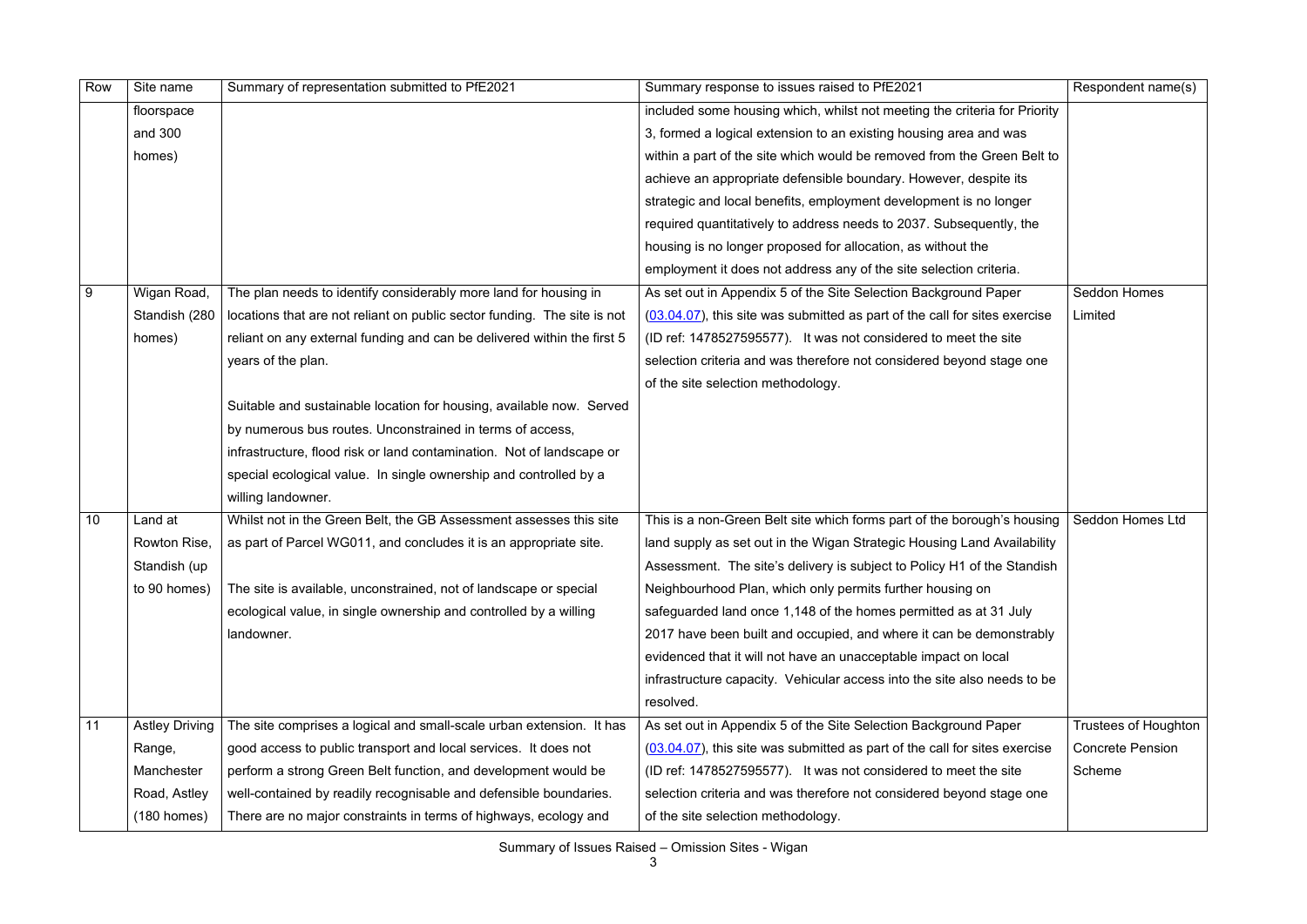Summary of Issues Raised – Omission Sites - Wigan

| Row | Site name             | Summary of representation submitted to PfE2021                           | Summary response to issues raised to PfE2021                                  | Respondent name(s)          |
|-----|-----------------------|--------------------------------------------------------------------------|-------------------------------------------------------------------------------|-----------------------------|
|     | floorspace            |                                                                          | included some housing which, whilst not meeting the criteria for Priority     |                             |
|     | and 300               |                                                                          | 3, formed a logical extension to an existing housing area and was             |                             |
|     | homes)                |                                                                          | within a part of the site which would be removed from the Green Belt to       |                             |
|     |                       |                                                                          | achieve an appropriate defensible boundary. However, despite its              |                             |
|     |                       |                                                                          | strategic and local benefits, employment development is no longer             |                             |
|     |                       |                                                                          | required quantitatively to address needs to 2037. Subsequently, the           |                             |
|     |                       |                                                                          | housing is no longer proposed for allocation, as without the                  |                             |
|     |                       |                                                                          | employment it does not address any of the site selection criteria.            |                             |
| 9   | Wigan Road,           | The plan needs to identify considerably more land for housing in         | As set out in Appendix 5 of the Site Selection Background Paper               | Seddon Homes                |
|     | Standish (280         | locations that are not reliant on public sector funding. The site is not | $(03.04.07)$ , this site was submitted as part of the call for sites exercise | Limited                     |
|     | homes)                | reliant on any external funding and can be delivered within the first 5  | (ID ref: 1478527595577). It was not considered to meet the site               |                             |
|     |                       | years of the plan.                                                       | selection criteria and was therefore not considered beyond stage one          |                             |
|     |                       |                                                                          | of the site selection methodology.                                            |                             |
|     |                       | Suitable and sustainable location for housing, available now. Served     |                                                                               |                             |
|     |                       | by numerous bus routes. Unconstrained in terms of access,                |                                                                               |                             |
|     |                       | infrastructure, flood risk or land contamination. Not of landscape or    |                                                                               |                             |
|     |                       | special ecological value. In single ownership and controlled by a        |                                                                               |                             |
|     |                       | willing landowner.                                                       |                                                                               |                             |
| 10  | Land at               | Whilst not in the Green Belt, the GB Assessment assesses this site       | This is a non-Green Belt site which forms part of the borough's housing       | Seddon Homes Ltd            |
|     | Rowton Rise,          | as part of Parcel WG011, and concludes it is an appropriate site.        | land supply as set out in the Wigan Strategic Housing Land Availability       |                             |
|     | Standish (up          |                                                                          | Assessment. The site's delivery is subject to Policy H1 of the Standish       |                             |
|     | to 90 homes)          | The site is available, unconstrained, not of landscape or special        | Neighbourhood Plan, which only permits further housing on                     |                             |
|     |                       | ecological value, in single ownership and controlled by a willing        | safeguarded land once 1,148 of the homes permitted as at 31 July              |                             |
|     |                       | landowner.                                                               | 2017 have been built and occupied, and where it can be demonstrably           |                             |
|     |                       |                                                                          | evidenced that it will not have an unacceptable impact on local               |                             |
|     |                       |                                                                          | infrastructure capacity. Vehicular access into the site also needs to be      |                             |
|     |                       |                                                                          | resolved.                                                                     |                             |
| 11  | <b>Astley Driving</b> | The site comprises a logical and small-scale urban extension. It has     | As set out in Appendix 5 of the Site Selection Background Paper               | <b>Trustees of Houghton</b> |
|     | Range,                | good access to public transport and local services. It does not          | $(03.04.07)$ , this site was submitted as part of the call for sites exercise | <b>Concrete Pension</b>     |
|     | Manchester            | perform a strong Green Belt function, and development would be           | (ID ref: 1478527595577). It was not considered to meet the site               | Scheme                      |
|     | Road, Astley          | well-contained by readily recognisable and defensible boundaries.        | selection criteria and was therefore not considered beyond stage one          |                             |
|     | $(180$ homes)         | There are no major constraints in terms of highways, ecology and         | of the site selection methodology.                                            |                             |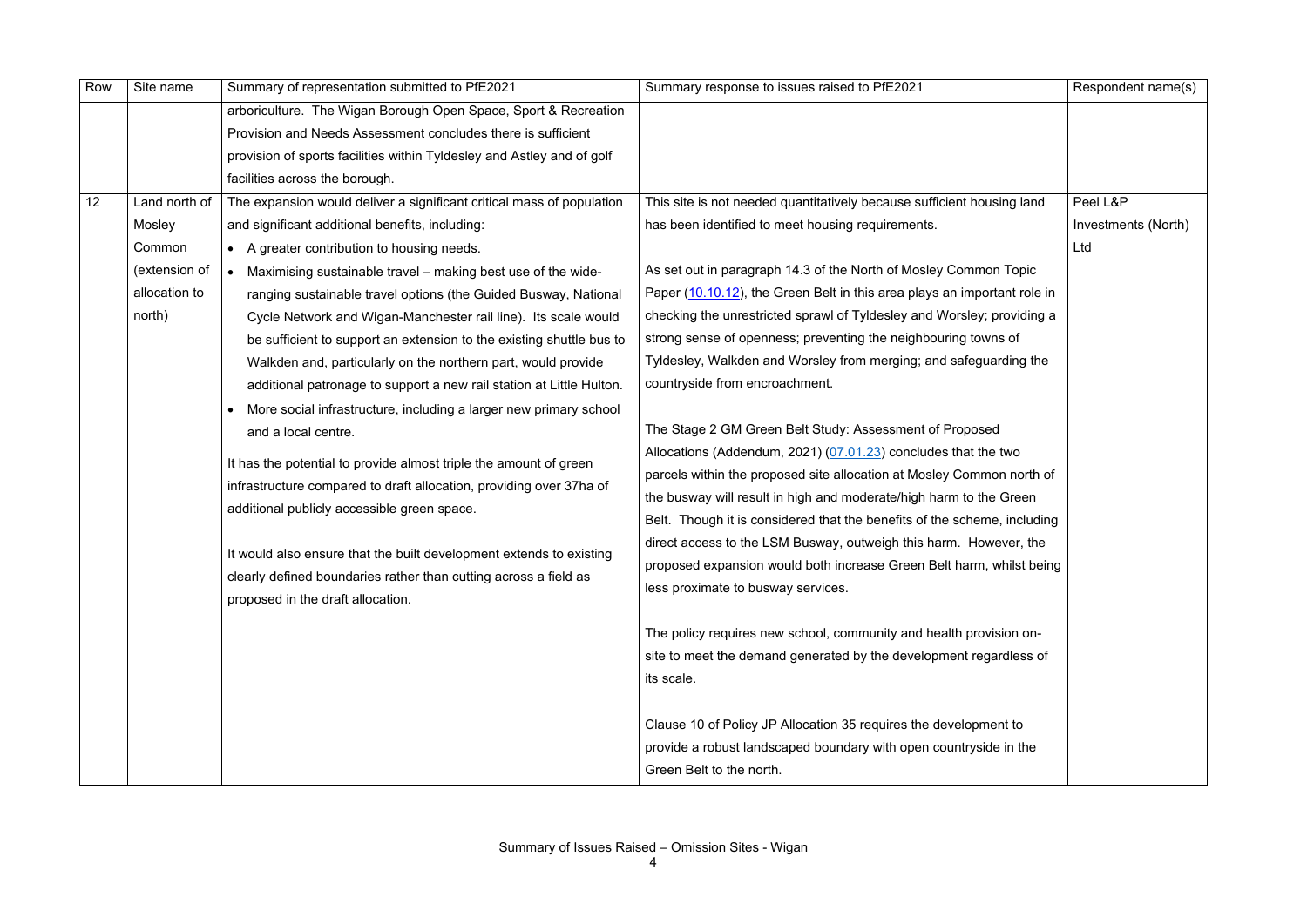| Row | Site name     | Summary of representation submitted to PfE2021                         | Summary response to issues raised to PfE2021                             | Respondent name(s)  |
|-----|---------------|------------------------------------------------------------------------|--------------------------------------------------------------------------|---------------------|
|     |               | arboriculture. The Wigan Borough Open Space, Sport & Recreation        |                                                                          |                     |
|     |               | Provision and Needs Assessment concludes there is sufficient           |                                                                          |                     |
|     |               | provision of sports facilities within Tyldesley and Astley and of golf |                                                                          |                     |
|     |               | facilities across the borough.                                         |                                                                          |                     |
| 12  | Land north of | The expansion would deliver a significant critical mass of population  | This site is not needed quantitatively because sufficient housing land   | Peel L&P            |
|     | Mosley        | and significant additional benefits, including:                        | has been identified to meet housing requirements.                        | Investments (North) |
|     | Common        | A greater contribution to housing needs.                               |                                                                          | Ltd                 |
|     | (extension of | Maximising sustainable travel – making best use of the wide-           | As set out in paragraph 14.3 of the North of Mosley Common Topic         |                     |
|     | allocation to | ranging sustainable travel options (the Guided Busway, National        | Paper (10.10.12), the Green Belt in this area plays an important role in |                     |
|     | north)        | Cycle Network and Wigan-Manchester rail line). Its scale would         | checking the unrestricted sprawl of Tyldesley and Worsley; providing a   |                     |
|     |               | be sufficient to support an extension to the existing shuttle bus to   | strong sense of openness; preventing the neighbouring towns of           |                     |
|     |               | Walkden and, particularly on the northern part, would provide          | Tyldesley, Walkden and Worsley from merging; and safeguarding the        |                     |
|     |               | additional patronage to support a new rail station at Little Hulton.   | countryside from encroachment.                                           |                     |
|     |               | More social infrastructure, including a larger new primary school      |                                                                          |                     |
|     |               | and a local centre.                                                    | The Stage 2 GM Green Belt Study: Assessment of Proposed                  |                     |
|     |               | It has the potential to provide almost triple the amount of green      | Allocations (Addendum, 2021) (07.01.23) concludes that the two           |                     |
|     |               | infrastructure compared to draft allocation, providing over 37ha of    | parcels within the proposed site allocation at Mosley Common north of    |                     |
|     |               | additional publicly accessible green space.                            | the busway will result in high and moderate/high harm to the Green       |                     |
|     |               |                                                                        | Belt. Though it is considered that the benefits of the scheme, including |                     |
|     |               | It would also ensure that the built development extends to existing    | direct access to the LSM Busway, outweigh this harm. However, the        |                     |
|     |               | clearly defined boundaries rather than cutting across a field as       | proposed expansion would both increase Green Belt harm, whilst being     |                     |
|     |               | proposed in the draft allocation.                                      | less proximate to busway services.                                       |                     |
|     |               |                                                                        |                                                                          |                     |
|     |               |                                                                        | The policy requires new school, community and health provision on-       |                     |
|     |               |                                                                        | site to meet the demand generated by the development regardless of       |                     |
|     |               |                                                                        | its scale.                                                               |                     |
|     |               |                                                                        |                                                                          |                     |
|     |               |                                                                        | Clause 10 of Policy JP Allocation 35 requires the development to         |                     |
|     |               |                                                                        | provide a robust landscaped boundary with open countryside in the        |                     |
|     |               |                                                                        | Green Belt to the north.                                                 |                     |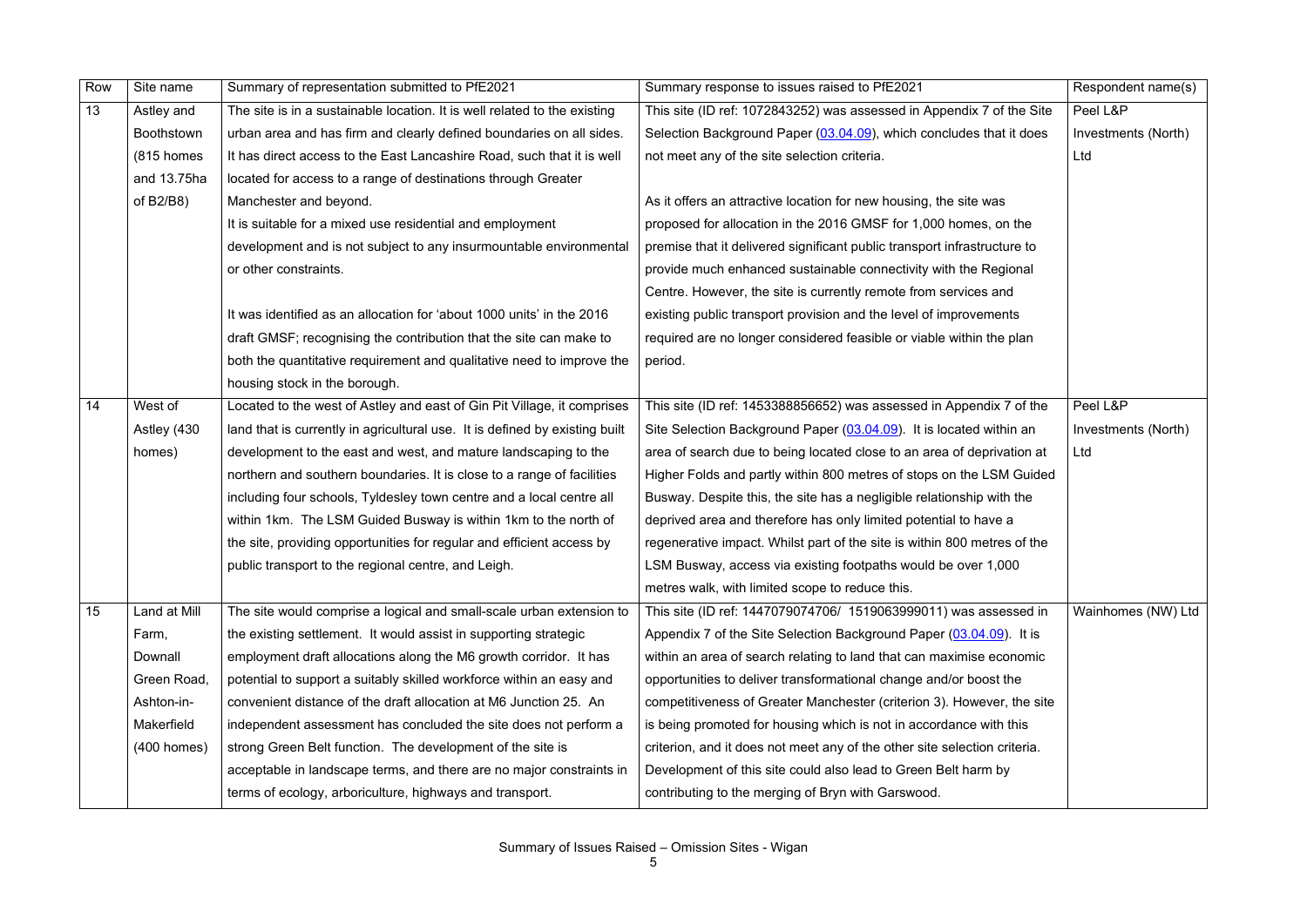| Row | Site name         | Summary of representation submitted to PfE2021                              | Summary response to issues raised to PfE2021                              | Respondent name(s)  |
|-----|-------------------|-----------------------------------------------------------------------------|---------------------------------------------------------------------------|---------------------|
| 13  | Astley and        | The site is in a sustainable location. It is well related to the existing   | This site (ID ref: 1072843252) was assessed in Appendix 7 of the Site     | Peel L&P            |
|     | <b>Boothstown</b> | urban area and has firm and clearly defined boundaries on all sides.        | Selection Background Paper (03.04.09), which concludes that it does       | Investments (North) |
|     | (815 homes        | It has direct access to the East Lancashire Road, such that it is well      | not meet any of the site selection criteria.                              | Ltd                 |
|     | and 13.75ha       | located for access to a range of destinations through Greater               |                                                                           |                     |
|     | of B2/B8)         | Manchester and beyond.                                                      | As it offers an attractive location for new housing, the site was         |                     |
|     |                   | It is suitable for a mixed use residential and employment                   | proposed for allocation in the 2016 GMSF for 1,000 homes, on the          |                     |
|     |                   | development and is not subject to any insurmountable environmental          | premise that it delivered significant public transport infrastructure to  |                     |
|     |                   | or other constraints.                                                       | provide much enhanced sustainable connectivity with the Regional          |                     |
|     |                   |                                                                             | Centre. However, the site is currently remote from services and           |                     |
|     |                   | It was identified as an allocation for 'about 1000 units' in the 2016       | existing public transport provision and the level of improvements         |                     |
|     |                   | draft GMSF; recognising the contribution that the site can make to          | required are no longer considered feasible or viable within the plan      |                     |
|     |                   | both the quantitative requirement and qualitative need to improve the       | period.                                                                   |                     |
|     |                   | housing stock in the borough.                                               |                                                                           |                     |
| 14  | West of           | Located to the west of Astley and east of Gin Pit Village, it comprises     | This site (ID ref: 1453388856652) was assessed in Appendix 7 of the       | Peel L&P            |
|     | Astley (430       | land that is currently in agricultural use. It is defined by existing built | Site Selection Background Paper (03.04.09). It is located within an       | Investments (North) |
|     | homes)            | development to the east and west, and mature landscaping to the             | area of search due to being located close to an area of deprivation at    | Ltd                 |
|     |                   | northern and southern boundaries. It is close to a range of facilities      | Higher Folds and partly within 800 metres of stops on the LSM Guided      |                     |
|     |                   | including four schools, Tyldesley town centre and a local centre all        | Busway. Despite this, the site has a negligible relationship with the     |                     |
|     |                   | within 1km. The LSM Guided Busway is within 1km to the north of             | deprived area and therefore has only limited potential to have a          |                     |
|     |                   | the site, providing opportunities for regular and efficient access by       | regenerative impact. Whilst part of the site is within 800 metres of the  |                     |
|     |                   | public transport to the regional centre, and Leigh.                         | LSM Busway, access via existing footpaths would be over 1,000             |                     |
|     |                   |                                                                             | metres walk, with limited scope to reduce this.                           |                     |
| 15  | Land at Mill      | The site would comprise a logical and small-scale urban extension to        | This site (ID ref: 1447079074706/ 1519063999011) was assessed in          | Wainhomes (NW) Ltd  |
|     | Farm,             | the existing settlement. It would assist in supporting strategic            | Appendix 7 of the Site Selection Background Paper (03.04.09). It is       |                     |
|     | Downall           | employment draft allocations along the M6 growth corridor. It has           | within an area of search relating to land that can maximise economic      |                     |
|     | Green Road,       | potential to support a suitably skilled workforce within an easy and        | opportunities to deliver transformational change and/or boost the         |                     |
|     | Ashton-in-        | convenient distance of the draft allocation at M6 Junction 25. An           | competitiveness of Greater Manchester (criterion 3). However, the site    |                     |
|     | Makerfield        | independent assessment has concluded the site does not perform a            | is being promoted for housing which is not in accordance with this        |                     |
|     | $(400$ homes)     | strong Green Belt function. The development of the site is                  | criterion, and it does not meet any of the other site selection criteria. |                     |
|     |                   | acceptable in landscape terms, and there are no major constraints in        | Development of this site could also lead to Green Belt harm by            |                     |
|     |                   | terms of ecology, arboriculture, highways and transport.                    | contributing to the merging of Bryn with Garswood.                        |                     |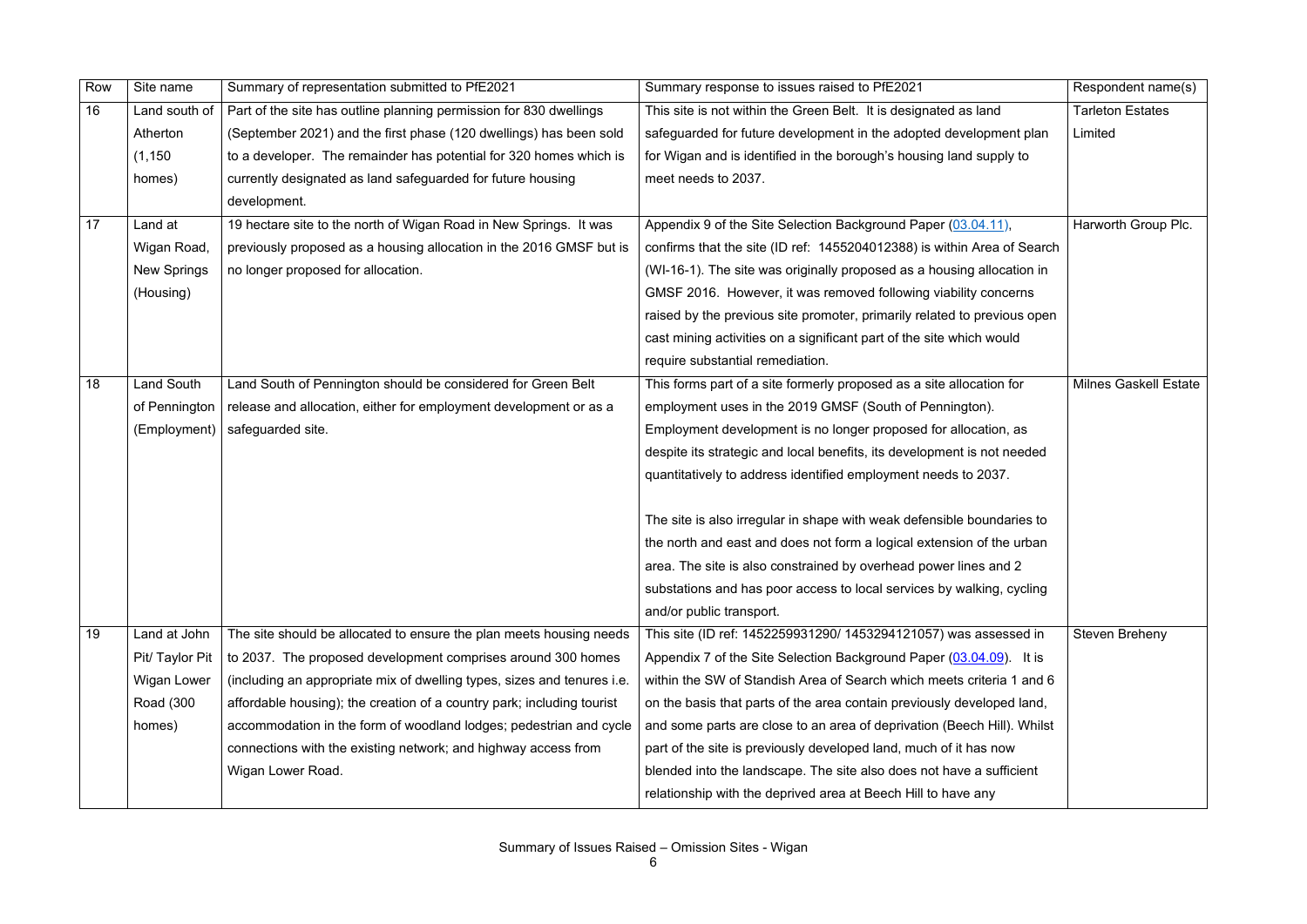| Row | Site name          | Summary of representation submitted to PfE2021                          | Summary response to issues raised to PfE2021                             | Respondent name(s)           |
|-----|--------------------|-------------------------------------------------------------------------|--------------------------------------------------------------------------|------------------------------|
| 16  | Land south of      | Part of the site has outline planning permission for 830 dwellings      | This site is not within the Green Belt. It is designated as land         | <b>Tarleton Estates</b>      |
|     | Atherton           | (September 2021) and the first phase (120 dwellings) has been sold      | safeguarded for future development in the adopted development plan       | Limited                      |
|     | (1, 150)           | to a developer. The remainder has potential for 320 homes which is      | for Wigan and is identified in the borough's housing land supply to      |                              |
|     | homes)             | currently designated as land safeguarded for future housing             | meet needs to 2037.                                                      |                              |
|     |                    | development.                                                            |                                                                          |                              |
| 17  | Land at            | 19 hectare site to the north of Wigan Road in New Springs. It was       | Appendix 9 of the Site Selection Background Paper (03.04.11),            | Harworth Group Plc.          |
|     | Wigan Road,        | previously proposed as a housing allocation in the 2016 GMSF but is     | confirms that the site (ID ref: 1455204012388) is within Area of Search  |                              |
|     | <b>New Springs</b> | no longer proposed for allocation.                                      | (WI-16-1). The site was originally proposed as a housing allocation in   |                              |
|     | (Housing)          |                                                                         | GMSF 2016. However, it was removed following viability concerns          |                              |
|     |                    |                                                                         | raised by the previous site promoter, primarily related to previous open |                              |
|     |                    |                                                                         | cast mining activities on a significant part of the site which would     |                              |
|     |                    |                                                                         | require substantial remediation.                                         |                              |
| 18  | <b>Land South</b>  | Land South of Pennington should be considered for Green Belt            | This forms part of a site formerly proposed as a site allocation for     | <b>Milnes Gaskell Estate</b> |
|     | of Pennington      | release and allocation, either for employment development or as a       | employment uses in the 2019 GMSF (South of Pennington).                  |                              |
|     | (Employment)       | safeguarded site.                                                       | Employment development is no longer proposed for allocation, as          |                              |
|     |                    |                                                                         | despite its strategic and local benefits, its development is not needed  |                              |
|     |                    |                                                                         | quantitatively to address identified employment needs to 2037.           |                              |
|     |                    |                                                                         |                                                                          |                              |
|     |                    |                                                                         | The site is also irregular in shape with weak defensible boundaries to   |                              |
|     |                    |                                                                         | the north and east and does not form a logical extension of the urban    |                              |
|     |                    |                                                                         | area. The site is also constrained by overhead power lines and 2         |                              |
|     |                    |                                                                         | substations and has poor access to local services by walking, cycling    |                              |
|     |                    |                                                                         | and/or public transport.                                                 |                              |
| 19  | Land at John       | The site should be allocated to ensure the plan meets housing needs     | This site (ID ref: 1452259931290/ 1453294121057) was assessed in         | <b>Steven Breheny</b>        |
|     | Pit/ Taylor Pit    | to 2037. The proposed development comprises around 300 homes            | Appendix 7 of the Site Selection Background Paper (03.04.09). It is      |                              |
|     | <b>Wigan Lower</b> | (including an appropriate mix of dwelling types, sizes and tenures i.e. | within the SW of Standish Area of Search which meets criteria 1 and 6    |                              |
|     | Road (300          | affordable housing); the creation of a country park; including tourist  | on the basis that parts of the area contain previously developed land,   |                              |
|     | homes)             | accommodation in the form of woodland lodges; pedestrian and cycle      | and some parts are close to an area of deprivation (Beech Hill). Whilst  |                              |
|     |                    | connections with the existing network; and highway access from          | part of the site is previously developed land, much of it has now        |                              |
|     |                    | Wigan Lower Road.                                                       | blended into the landscape. The site also does not have a sufficient     |                              |
|     |                    |                                                                         | relationship with the deprived area at Beech Hill to have any            |                              |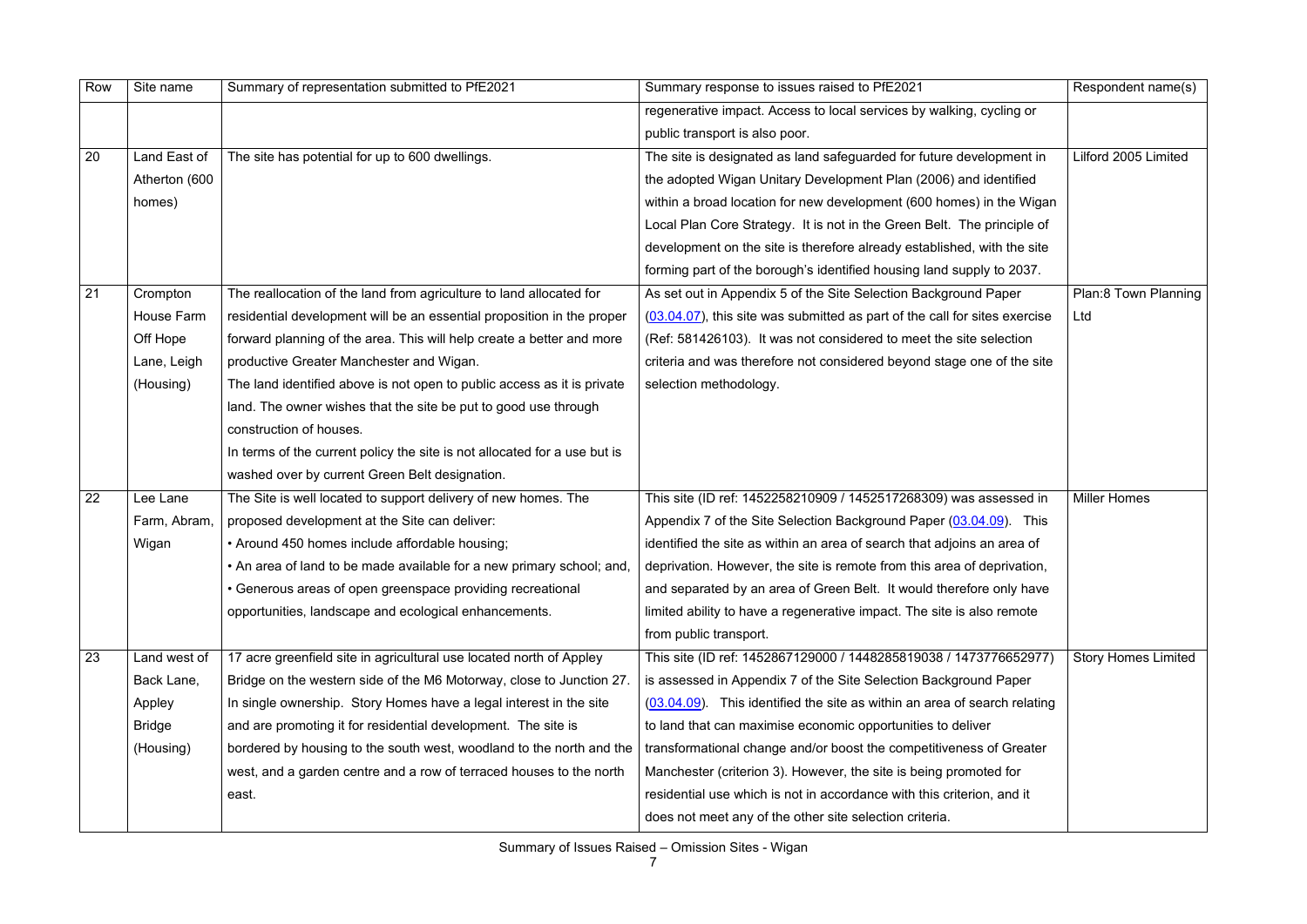Summary of Issues Raised – Omission Sites - Wigan

| Row | Site name     | Summary of representation submitted to PfE2021                            | Summary response to issues raised to PfE2021                                  | Respondent name(s)         |
|-----|---------------|---------------------------------------------------------------------------|-------------------------------------------------------------------------------|----------------------------|
|     |               |                                                                           | regenerative impact. Access to local services by walking, cycling or          |                            |
|     |               |                                                                           | public transport is also poor.                                                |                            |
| 20  | Land East of  | The site has potential for up to 600 dwellings.                           | The site is designated as land safeguarded for future development in          | Lilford 2005 Limited       |
|     | Atherton (600 |                                                                           | the adopted Wigan Unitary Development Plan (2006) and identified              |                            |
|     | homes)        |                                                                           | within a broad location for new development (600 homes) in the Wigan          |                            |
|     |               |                                                                           | Local Plan Core Strategy. It is not in the Green Belt. The principle of       |                            |
|     |               |                                                                           | development on the site is therefore already established, with the site       |                            |
|     |               |                                                                           | forming part of the borough's identified housing land supply to 2037.         |                            |
| 21  | Crompton      | The reallocation of the land from agriculture to land allocated for       | As set out in Appendix 5 of the Site Selection Background Paper               | Plan:8 Town Planning       |
|     | House Farm    | residential development will be an essential proposition in the proper    | $(03.04.07)$ , this site was submitted as part of the call for sites exercise | Ltd                        |
|     | Off Hope      | forward planning of the area. This will help create a better and more     | (Ref: 581426103). It was not considered to meet the site selection            |                            |
|     | Lane, Leigh   | productive Greater Manchester and Wigan.                                  | criteria and was therefore not considered beyond stage one of the site        |                            |
|     | (Housing)     | The land identified above is not open to public access as it is private   | selection methodology.                                                        |                            |
|     |               | land. The owner wishes that the site be put to good use through           |                                                                               |                            |
|     |               | construction of houses.                                                   |                                                                               |                            |
|     |               | In terms of the current policy the site is not allocated for a use but is |                                                                               |                            |
|     |               | washed over by current Green Belt designation.                            |                                                                               |                            |
| 22  | Lee Lane      | The Site is well located to support delivery of new homes. The            | This site (ID ref: 1452258210909 / 1452517268309) was assessed in             | <b>Miller Homes</b>        |
|     | Farm, Abram,  | proposed development at the Site can deliver:                             | Appendix 7 of the Site Selection Background Paper (03.04.09).<br>This         |                            |
|     | Wigan         | • Around 450 homes include affordable housing;                            | identified the site as within an area of search that adjoins an area of       |                            |
|     |               | • An area of land to be made available for a new primary school; and,     | deprivation. However, the site is remote from this area of deprivation,       |                            |
|     |               | • Generous areas of open greenspace providing recreational                | and separated by an area of Green Belt. It would therefore only have          |                            |
|     |               | opportunities, landscape and ecological enhancements.                     | limited ability to have a regenerative impact. The site is also remote        |                            |
|     |               |                                                                           | from public transport.                                                        |                            |
| 23  | Land west of  | 17 acre greenfield site in agricultural use located north of Appley       | This site (ID ref: 1452867129000 / 1448285819038 / 1473776652977)             | <b>Story Homes Limited</b> |
|     | Back Lane,    | Bridge on the western side of the M6 Motorway, close to Junction 27.      | is assessed in Appendix 7 of the Site Selection Background Paper              |                            |
|     | Appley        | In single ownership. Story Homes have a legal interest in the site        | $(03.04.09)$ . This identified the site as within an area of search relating  |                            |
|     | Bridge        | and are promoting it for residential development. The site is             | to land that can maximise economic opportunities to deliver                   |                            |
|     | (Housing)     | bordered by housing to the south west, woodland to the north and the      | transformational change and/or boost the competitiveness of Greater           |                            |
|     |               | west, and a garden centre and a row of terraced houses to the north       | Manchester (criterion 3). However, the site is being promoted for             |                            |
|     |               | east.                                                                     | residential use which is not in accordance with this criterion, and it        |                            |
|     |               |                                                                           | does not meet any of the other site selection criteria.                       |                            |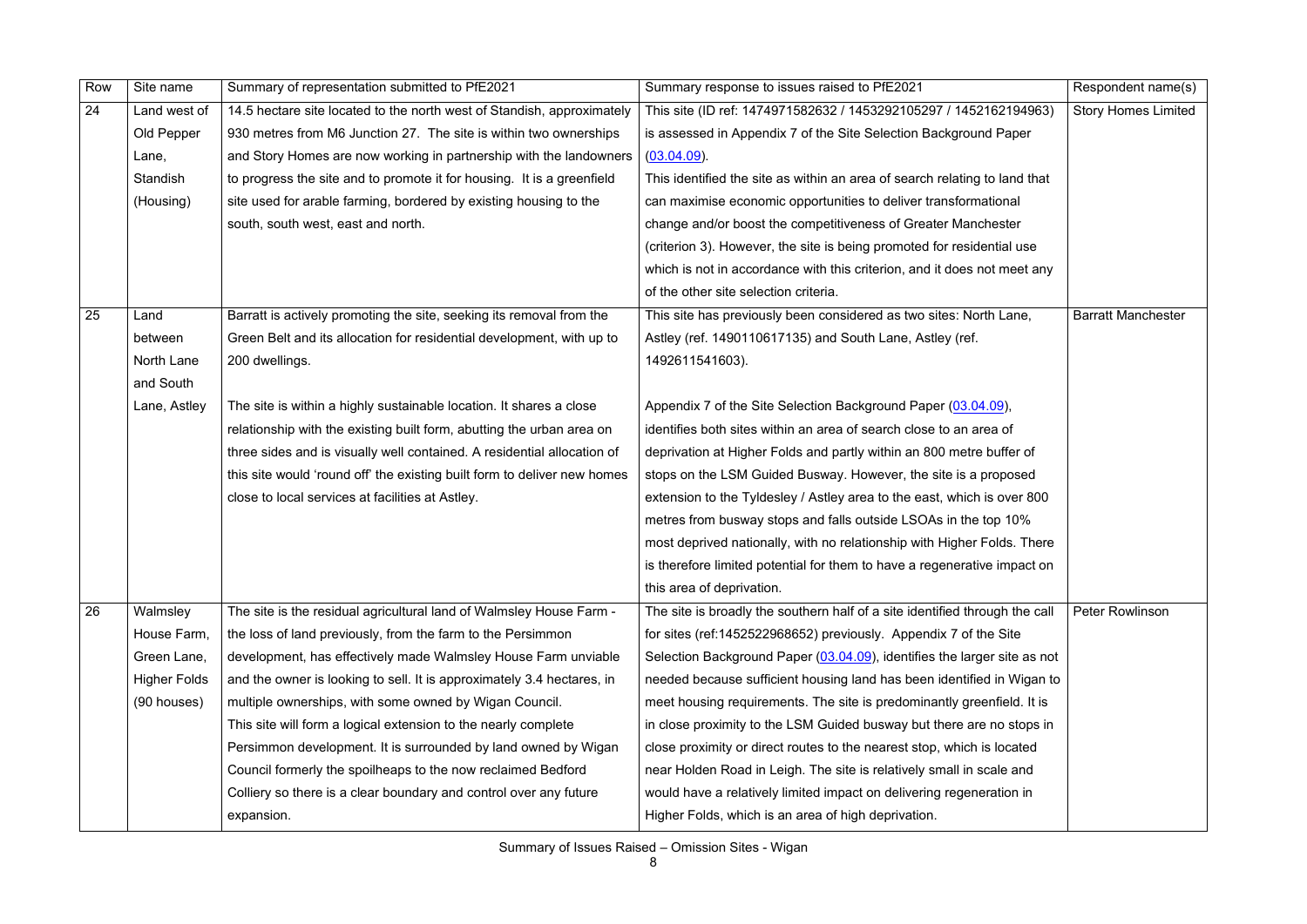| Row | Site name           | Summary of representation submitted to PfE2021                           | Summary response to issues raised to PfE2021                                | Respondent name(s)         |
|-----|---------------------|--------------------------------------------------------------------------|-----------------------------------------------------------------------------|----------------------------|
| 24  | Land west of        | 14.5 hectare site located to the north west of Standish, approximately   | This site (ID ref: 1474971582632 / 1453292105297 / 1452162194963)           | <b>Story Homes Limited</b> |
|     | Old Pepper          | 930 metres from M6 Junction 27. The site is within two ownerships        | is assessed in Appendix 7 of the Site Selection Background Paper            |                            |
|     | Lane,               | and Story Homes are now working in partnership with the landowners       | $(03.04.09)$ .                                                              |                            |
|     | Standish            | to progress the site and to promote it for housing. It is a greenfield   | This identified the site as within an area of search relating to land that  |                            |
|     | (Housing)           | site used for arable farming, bordered by existing housing to the        | can maximise economic opportunities to deliver transformational             |                            |
|     |                     | south, south west, east and north.                                       | change and/or boost the competitiveness of Greater Manchester               |                            |
|     |                     |                                                                          | (criterion 3). However, the site is being promoted for residential use      |                            |
|     |                     |                                                                          | which is not in accordance with this criterion, and it does not meet any    |                            |
|     |                     |                                                                          | of the other site selection criteria.                                       |                            |
| 25  | Land                | Barratt is actively promoting the site, seeking its removal from the     | This site has previously been considered as two sites: North Lane,          | <b>Barratt Manchester</b>  |
|     | between             | Green Belt and its allocation for residential development, with up to    | Astley (ref. 1490110617135) and South Lane, Astley (ref.                    |                            |
|     | North Lane          | 200 dwellings.                                                           | 1492611541603).                                                             |                            |
|     | and South           |                                                                          |                                                                             |                            |
|     | Lane, Astley        | The site is within a highly sustainable location. It shares a close      | Appendix 7 of the Site Selection Background Paper (03.04.09),               |                            |
|     |                     | relationship with the existing built form, abutting the urban area on    | identifies both sites within an area of search close to an area of          |                            |
|     |                     | three sides and is visually well contained. A residential allocation of  | deprivation at Higher Folds and partly within an 800 metre buffer of        |                            |
|     |                     | this site would 'round off' the existing built form to deliver new homes | stops on the LSM Guided Busway. However, the site is a proposed             |                            |
|     |                     | close to local services at facilities at Astley.                         | extension to the Tyldesley / Astley area to the east, which is over 800     |                            |
|     |                     |                                                                          | metres from busway stops and falls outside LSOAs in the top 10%             |                            |
|     |                     |                                                                          | most deprived nationally, with no relationship with Higher Folds. There     |                            |
|     |                     |                                                                          | is therefore limited potential for them to have a regenerative impact on    |                            |
|     |                     |                                                                          | this area of deprivation.                                                   |                            |
| 26  | Walmsley            | The site is the residual agricultural land of Walmsley House Farm -      | The site is broadly the southern half of a site identified through the call | <b>Peter Rowlinson</b>     |
|     | House Farm,         | the loss of land previously, from the farm to the Persimmon              | for sites (ref:1452522968652) previously. Appendix 7 of the Site            |                            |
|     | Green Lane,         | development, has effectively made Walmsley House Farm unviable           | Selection Background Paper (03.04.09), identifies the larger site as not    |                            |
|     | <b>Higher Folds</b> | and the owner is looking to sell. It is approximately 3.4 hectares, in   | needed because sufficient housing land has been identified in Wigan to      |                            |
|     | (90 houses)         | multiple ownerships, with some owned by Wigan Council.                   | meet housing requirements. The site is predominantly greenfield. It is      |                            |
|     |                     | This site will form a logical extension to the nearly complete           | in close proximity to the LSM Guided busway but there are no stops in       |                            |
|     |                     | Persimmon development. It is surrounded by land owned by Wigan           | close proximity or direct routes to the nearest stop, which is located      |                            |
|     |                     | Council formerly the spoilheaps to the now reclaimed Bedford             | near Holden Road in Leigh. The site is relatively small in scale and        |                            |
|     |                     | Colliery so there is a clear boundary and control over any future        | would have a relatively limited impact on delivering regeneration in        |                            |
|     |                     | expansion.                                                               | Higher Folds, which is an area of high deprivation.                         |                            |